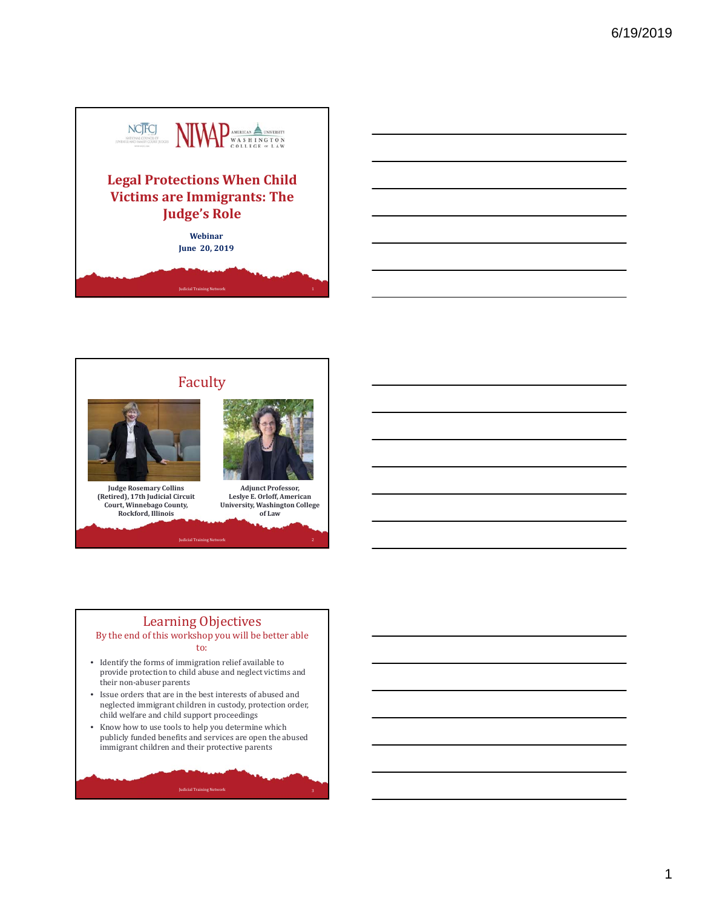



## Learning Objectives

#### By the end of this workshop you will be better able to:

- Identify the forms of immigration relief available to provide protection to child abuse and neglect victims and their non-abuser parents
- $\bullet~$  Issue orders that are in the best interests of abused and neglected immigrant children in custody, protection order, child welfare and child support proceedings
- Know how to use tools to help you determine which publicly funded benefits and services are open the abused immigrant children and their protective parents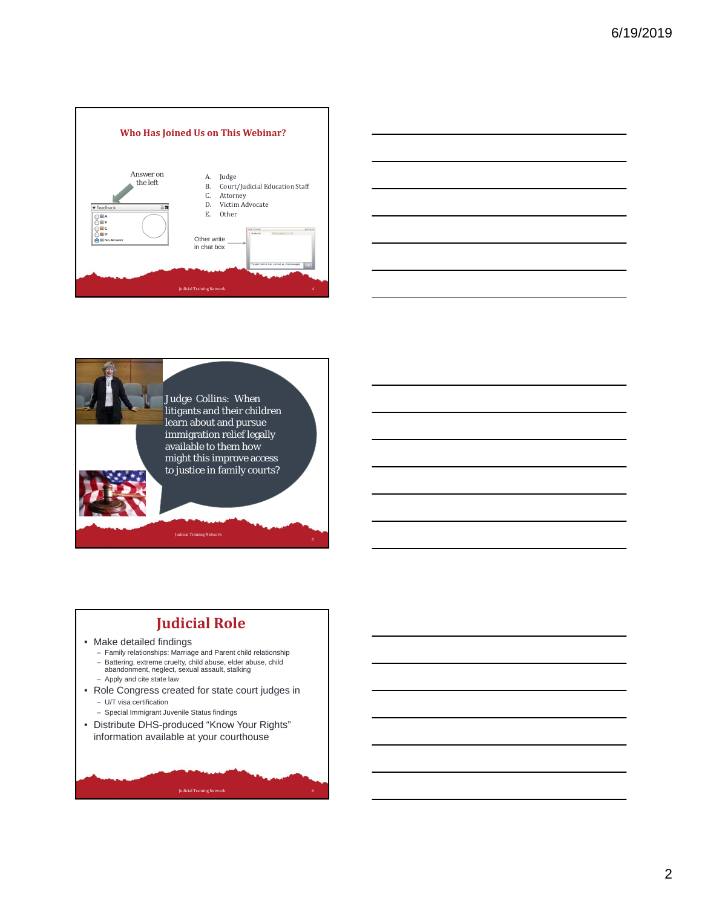





## **Judicial Role**

#### • Make detailed findings

- Family relationships: Marriage and Parent child relationship
- Battering, extreme cruelty, child abuse, elder abuse, child
- abandonment, neglect, sexual assault, stalking
- Apply and cite state law
- Role Congress created for state court judges in – U/T visa certification
	- Special Immigrant Juvenile Status findings
- Distribute DHS-produced "Know Your Rights" information available at your courthouse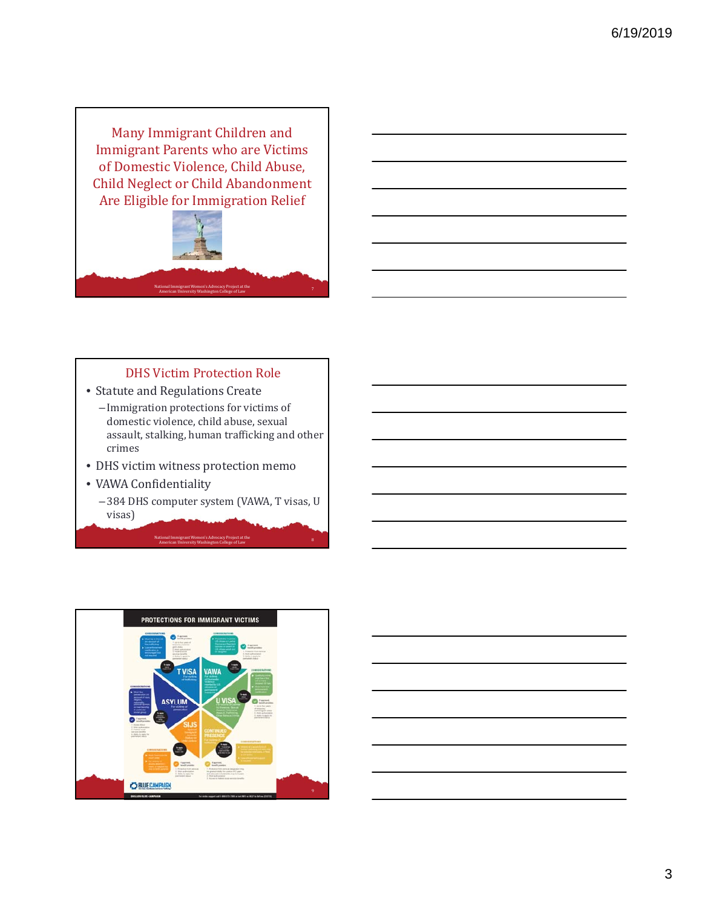Many Immigrant Children and **Immigrant Parents who are Victims** of Domestic Violence, Child Abuse, Child Neglect or Child Abandonment Are Eligible for Immigration Relief



#### DHS Victim Protection Role

- Statute and Regulations Create
	- Immigration protections for victims of domestic violence, child abuse, sexual assault, stalking, human trafficking and other crimes
- DHS victim witness protection memo
- VAWA Confidentiality
	- -384 DHS computer system (VAWA, T visas, U visas)

National Immigrant Women's Advocacy Project at the **American University Washington College** of Law 8 american University Washington College of Law 8 american

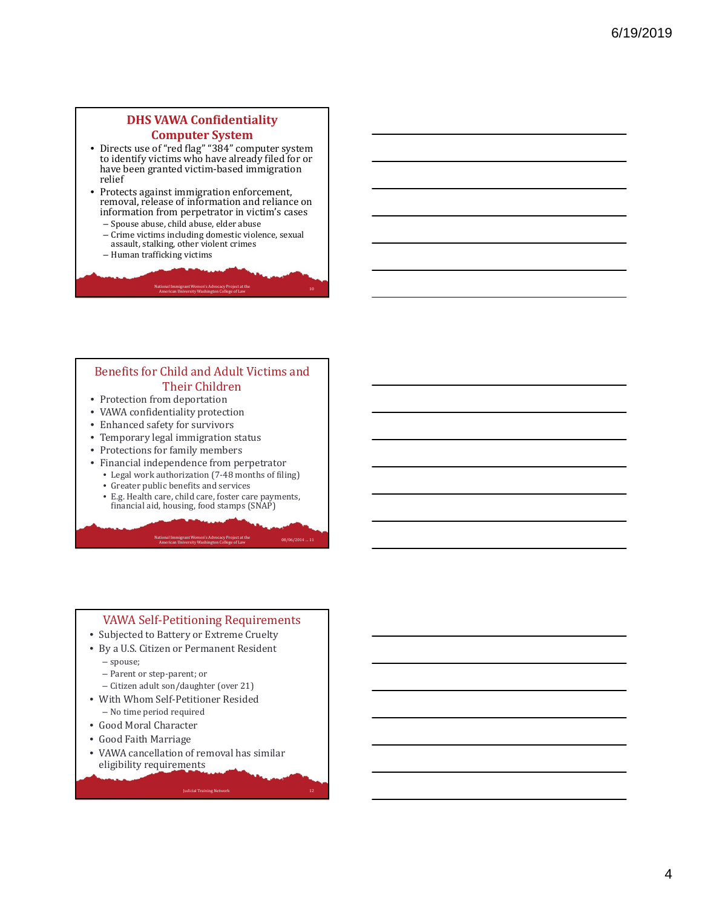#### **DHS VAWA Confidentiality Computer System**

- Directs use of "red flag" "384" computer system to identify victims who have already filed for or have been granted victim-based immigration relief
- Protects against immigration enforcement, removal, release of information and reliance on information from perpetrator in victim's cases
	- Spouse abuse, child abuse, elder abuse - Crime victims including domestic violence, sexual assault, stalking, other violent crimes

National Immigrant Women's Advocacy Project at the **American University Washington College** of Law<br>American University Washington College of Law

– Human trafficking victims

#### Benefits for Child and Adult Victims and Their Children

- Protection from deportation
- VAWA confidentiality protection
- Enhanced safety for survivors
- Temporary legal immigration status
- Protections for family members
- Financial independence from perpetrator
	- Legal work authorization (7-48 months of filing)
	- Greater public benefits and services
	- E.g. Health care, child care, foster care payments, financial aid, housing, food stamps (SNAP)

National Immigrant Women's Advocacy Project at the **COLL 2018** 08/06/2014 ... 11<br>American University Washington College of Law **08/06/2014** 

#### VAWA Self-Petitioning Requirements

- Subjected to Battery or Extreme Cruelty
- By a U.S. Citizen or Permanent Resident
	- spouse;
	- Parent or step-parent; or
	- Citizen adult son/daughter (over 21)
- With Whom Self-Petitioner Resided
- No time period required
- Good Moral Character
- Good Faith Marriage
- VAWA cancellation of removal has similar eligibility requirements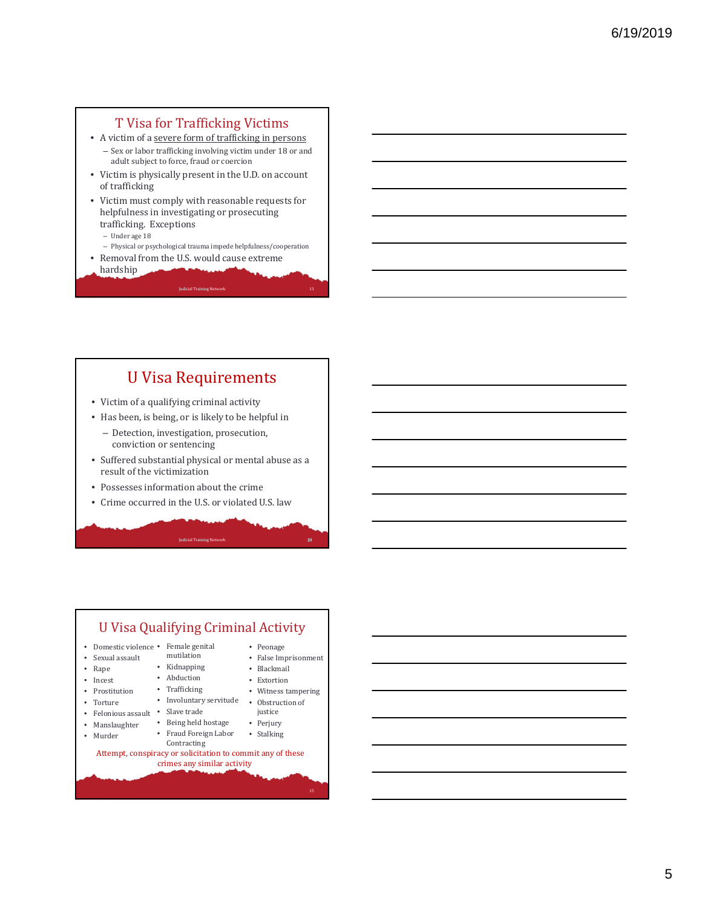## **T Visa for Trafficking Victims**

- A victim of a severe form of trafficking in persons - Sex or labor trafficking involving victim under 18 or and adult subject to force, fraud or coercion
- Victim is physically present in the U.D. on account of trafficking
- Victim must comply with reasonable requests for helpfulness in investigating or prosecuting trafficking. Exceptions
	- Under age 18
- Physical or psychological trauma impede helpfulness/cooperation

**Judicial Training Net** 

- Removal from the U.S. would cause extreme
- hardship

## U Visa Requirements

- Victim of a qualifying criminal activity
- Has been, is being, or is likely to be helpful in
	- Detection, investigation, prosecution, conviction or sentencing
- Suffered substantial physical or mental abuse as a result of the victimization

14

- Possesses information about the crime
- Crime occurred in the U.S. or violated U.S. law

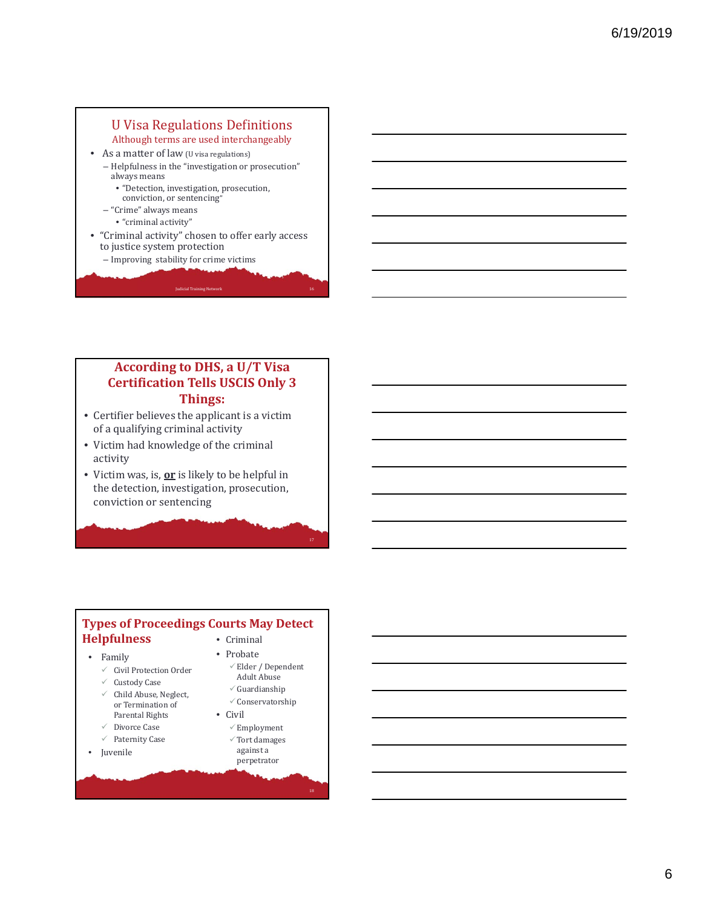## **U** Visa Regulations Definitions

Although terms are used interchangeably

- As a matter of law (U visa regulations)
	- Helpfulness in the "investigation or prosecution" always means
		- "Detection, investigation, prosecution, conviction, or sentencing"
	- "Crime" always means • "criminal activity"
- "Criminal activity" chosen to offer early access to justice system protection

Judicial Training Network 16

– Improving stability for crime victims

## **According to DHS, a U/T Visa Certification Tells USCIS Only 3 Things:**

- $\bullet$  Certifier believes the applicant is a victim of a qualifying criminal activity
- Victim had knowledge of the criminal activity
- Victim was, is, or is likely to be helpful in the detection, investigation, prosecution, conviction or sentencing

#### **Types of Proceedings Courts May Detect Helpfulness** • Criminal

- Family
	- $\checkmark$  Civil Protection Order
	- $\checkmark$  Custody Case
	- $\checkmark$  Child Abuse, Neglect, or Termination of Parental Rights
	- $\checkmark$  Divorce Case
	- $\checkmark$  Paternity Case
- Juvenile
- Probate
	- $\checkmark$ Elder / Dependent **Adult Abuse**
	- $\checkmark$  Guardianship  $\checkmark$  Conservatorship
- Civil
	- $\checkmark$  Employment  $\checkmark$  Tort damages against a
		- perpetrator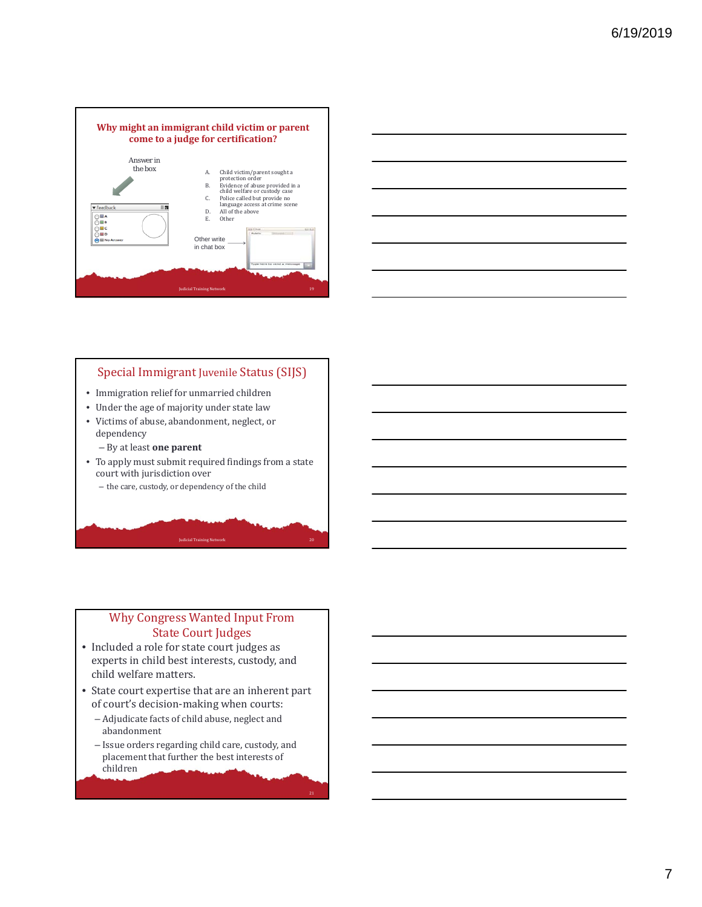



#### Special Immigrant Juvenile Status (SIJS)

- Immigration relief for unmarried children
- Under the age of majority under state law
- Victims of abuse, abandonment, neglect, or dependency
	- By at least **one parent**
- To apply must submit required findings from a state court with jurisdiction over
	- the care, custody, or dependency of the child

#### Why Congress Wanted Input From **State Court Judges**

Judicial Training Network 20

<sup>21</sup>

- Included a role for state court judges as experts in child best interests, custody, and child welfare matters.
- State court expertise that are an inherent part of court's decision-making when courts:
	- Adjudicate facts of child abuse, neglect and abandonment
	- Issue orders regarding child care, custody, and placement that further the best interests of children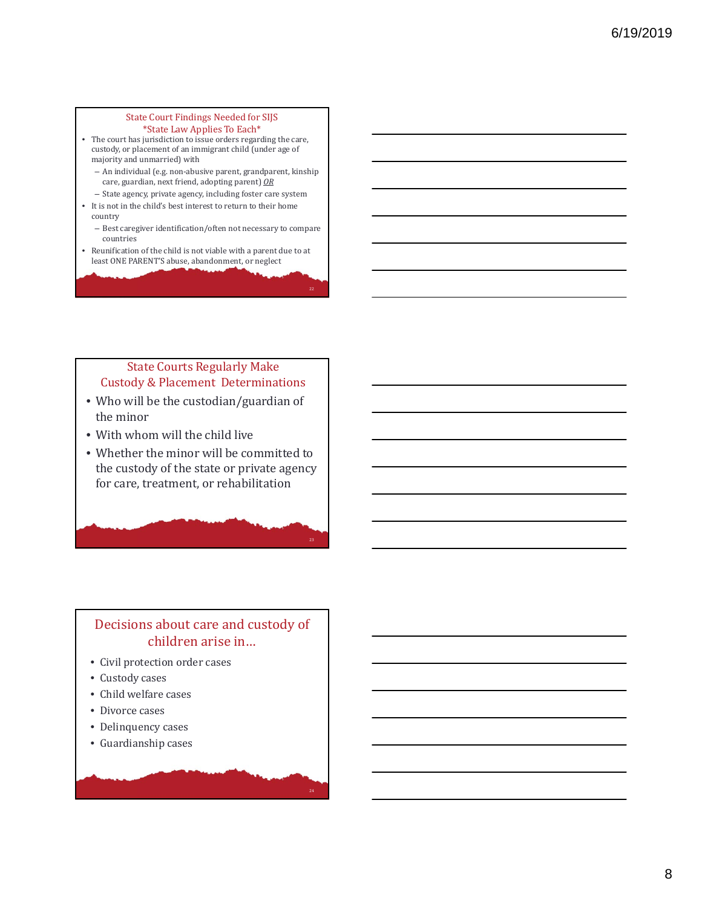#### State Court Findings Needed for SIJS \*State Law Applies To Each\*

- The court has jurisdiction to issue orders regarding the care, custody, or placement of an immigrant child (under age of majority and unmarried) with
	- An individual (e.g. non-abusive parent, grandparent, kinship care, guardian, next friend, adopting parent) OR
- State agency, private agency, including foster care system
- It is not in the child's best interest to return to their home country
	- Best caregiver identification/often not necessary to compare countries
- Reunification of the child is not viable with a parent due to at least ONE PARENT'S abuse, abandonment, or neglect

#### **State Courts Regularly Make** Custody & Placement Determinations

- Who will be the custodian/guardian of the minor
- With whom will the child live
- Whether the minor will be committed to the custody of the state or private agency for care, treatment, or rehabilitation

## Decisions about care and custody of children arise in...

24

- Civil protection order cases
- Custody cases
- Child welfare cases
- Divorce cases
- Delinquency cases
- Guardianship cases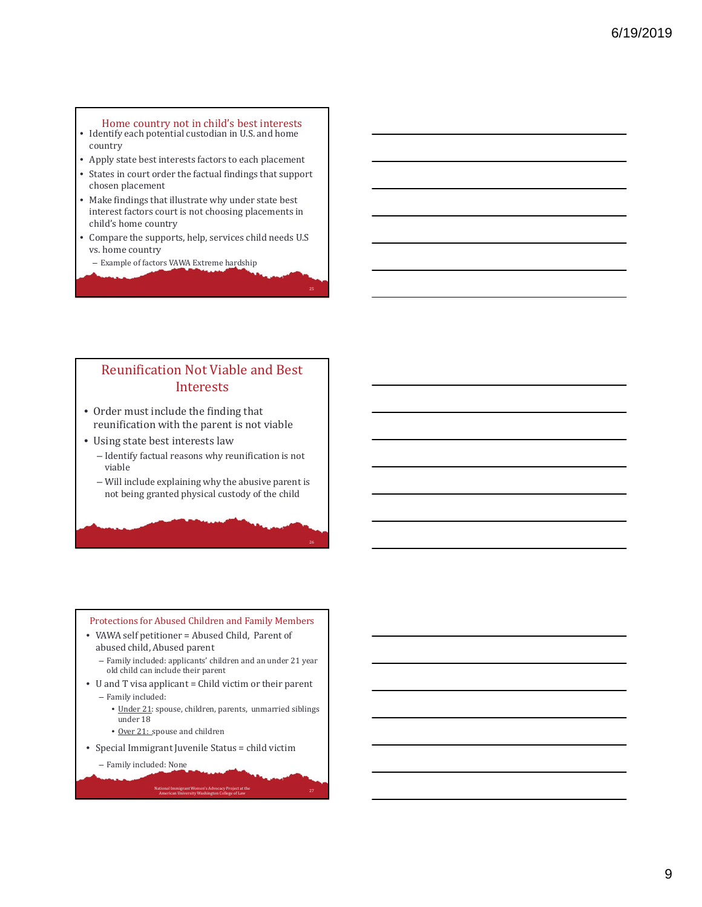- Home country not in child's best interests Identify each potential custodian in U.S. and home country
- Apply state best interests factors to each placement
- States in court order the factual findings that support chosen placement
- Make findings that illustrate why under state best interest factors court is not choosing placements in child's home country
- Compare the supports, help, services child needs U.S vs. home country
- Example of factors VAWA Extreme hardship

## Reunification Not Viable and Best Interests

- Order must include the finding that reunification with the parent is not viable
- Using state best interests law
	- Identify factual reasons why reunification is not viable
	- Will include explaining why the abusive parent is not being granted physical custody of the child

#### Protections for Abused Children and Family Members

- VAWA self petitioner = Abused Child, Parent of abused child, Abused parent
	- Family included: applicants' children and an under 21 year old child can include their parent
- U and T visa applicant = Child victim or their parent - Family included:
	- Under 21: spouse, children, parents, unmarried siblings under 18

National Immigrant Women's Advocacy Project at the **American University Washington College** of Law 27<br>27

- Over 21: spouse and children
- Special Immigrant Juvenile Status = child victim
	- Family included: None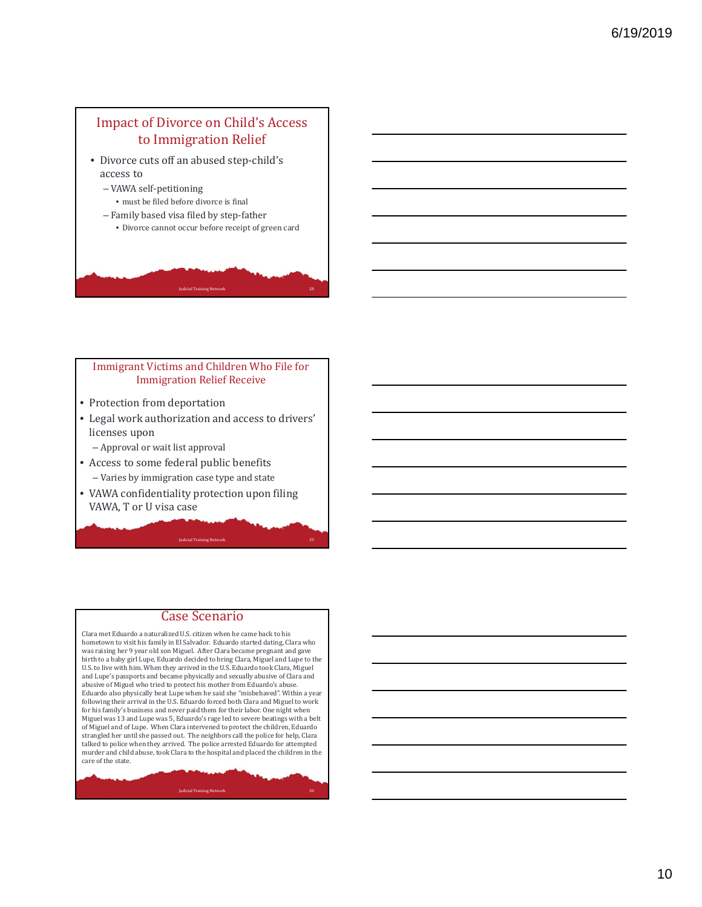## Impact of Divorce on Child's Access to Immigration Relief

- Divorce cuts off an abused step-child's access to
	- VAWA self‐petitioning
	- $\bullet$  must be filed before divorce is final
	- Family based visa filed by step‐father
		- Divorce cannot occur before receipt of green card

**Judicial Training Network** 

#### Immigrant Victims and Children Who File for **Immigration Relief Receive**

- Protection from deportation
- Legal work authorization and access to drivers' licenses upon
	- Approval or wait list approval
- Access to some federal public benefits - Varies by immigration case type and state
- VAWA confidentiality protection upon filing VAWA, T or U visa case

#### Case Scenario

Judicial Training Network 29

Clara met Eduardo a naturalized U.S. citizen when he came back to his hometown to visit his family in El Salvador. Eduardo started dating, Clara who was raising her 9 year old son Miguel. After Clara became pregnant and gave<br>birth to a baby girl Lupe, Eduardo decided to bring Clara, Miguel and Lupe to the U.S. to live with him. When they arrived in the U.S. Eduardo took Clara, Miguel and Lupe's passports and became physically and sexually abusive of Clara and abusive of Miguel who tried to protect his mother from Eduardo's abuse. Eduardo also physically beat Lupe when he said she "misbehaved". Within a year following their arrival in the U.S. Eduardo forced both Clara and Miguel to work for his family's business and never paid them for their labor. One night when Miguel was 13 and Lupe was 5, Eduardo's rage led to severe beatings with a belt<br>of Miguel and of Lupe. When Clara intervened to protect the children, Eduardo strangled her until she passed out. The neighbors call the police for help, Clara talked to police when they arrived. The police arrested Eduardo for attempted murder and child abuse, took Clara to the hospital and placed the children in the care of the state.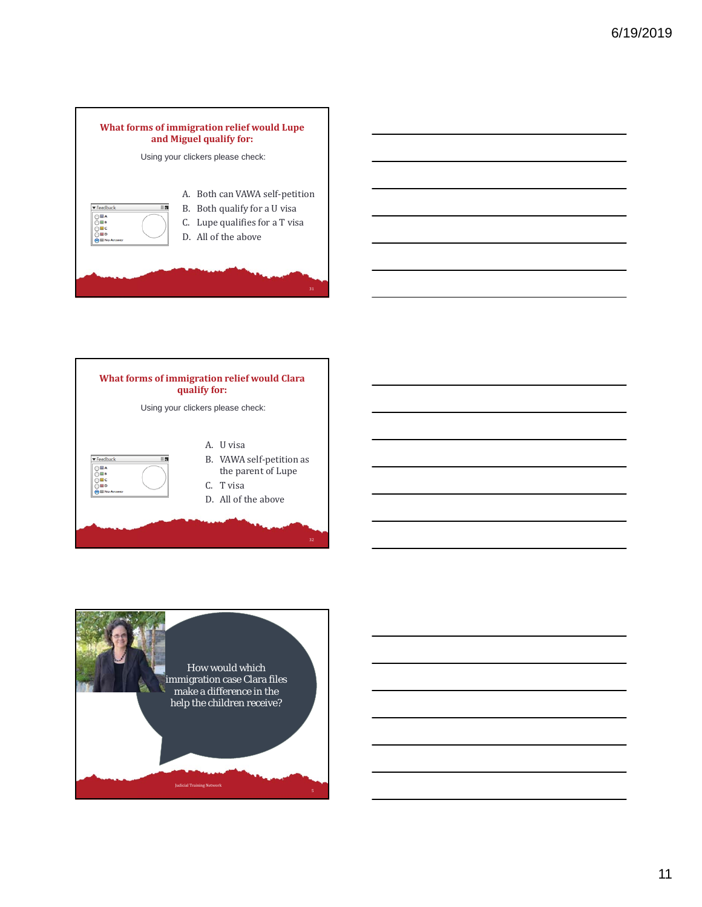



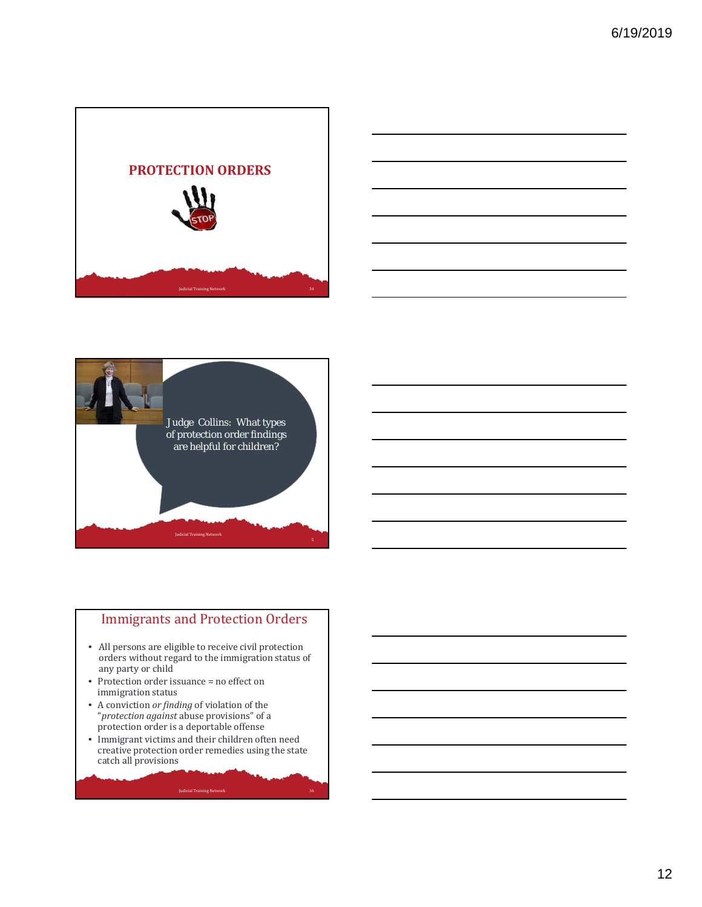





## **Immigrants and Protection Orders**

- All persons are eligible to receive civil protection orders without regard to the immigration status of any party or child
- Protection order issuance  $=$  no effect on immigration status
- A conviction *or finding* of violation of the "*protection against* abuse provisions" of a protection order is a deportable offense
- Immigrant victims and their children often need creative protection order remedies using the state catch all provisions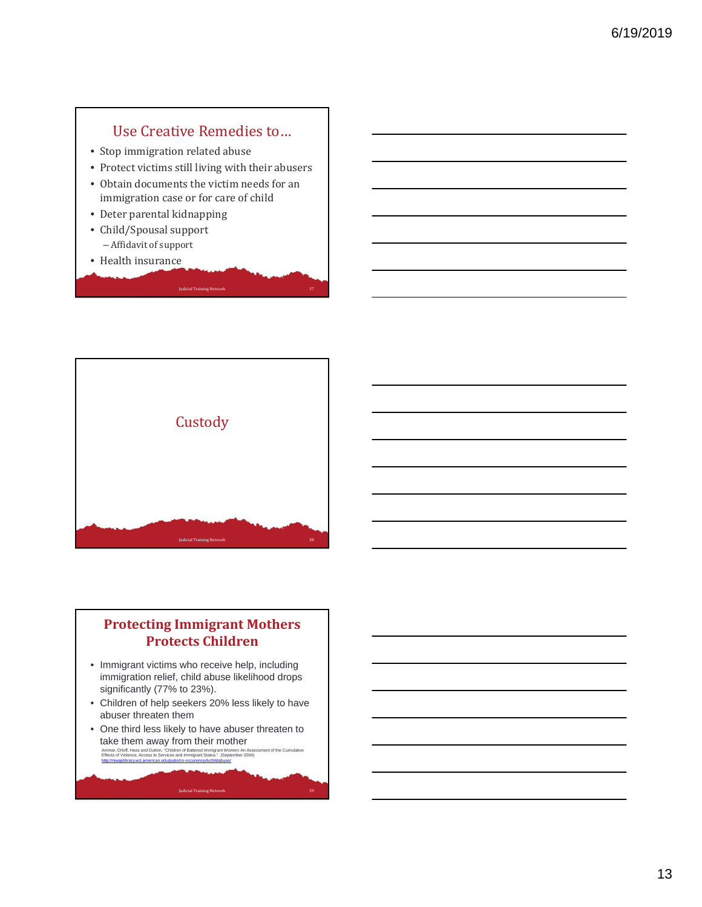## Use Creative Remedies to...

- Stop immigration related abuse
- Protect victims still living with their abusers

Iudicial Training Network

- Obtain documents the victim needs for an immigration case or for care of child
- Deter parental kidnapping
- Child/Spousal support - Affidavit of support
- Health insurance



## **Protecting Immigrant Mothers Protects Children**

- Immigrant victims who receive help, including immigration relief, child abuse likelihood drops significantly (77% to 23%).
- Children of help seekers 20% less likely to have abuser threaten them
- One third less likely to have abuser threaten to take them away from their mother<br>Ammar, Orloff, Hass and Dutton, "Children of Battered Immigrant Women: An Assessment of the Cumulative<br>Effects of Violence, Access to Services and Immigrant Status: "Geptember 2004)<br>http:// Judicial Training Network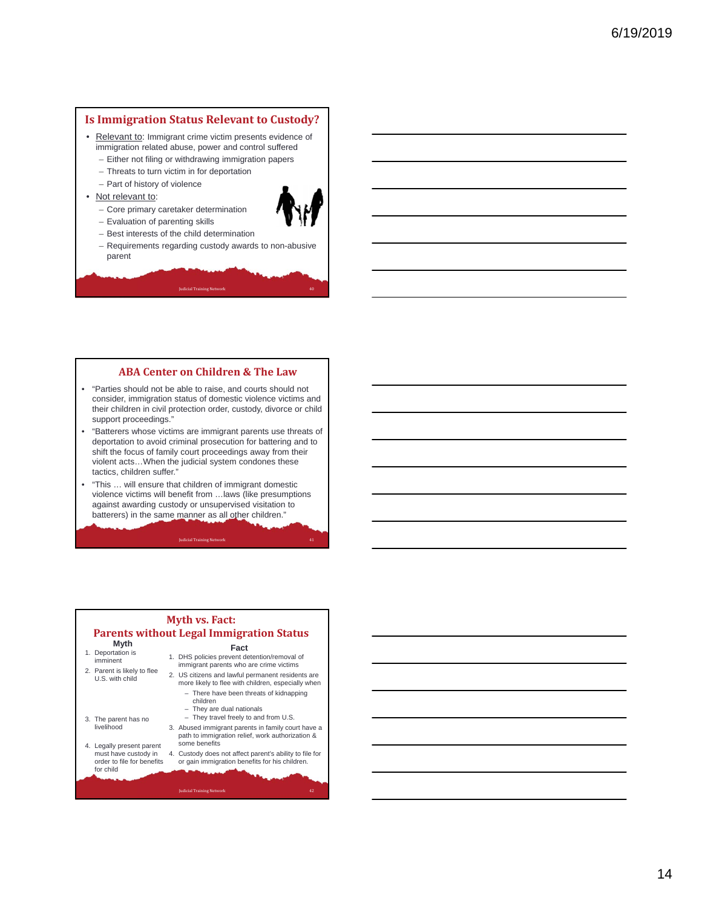#### **Is Immigration Status Relevant to Custody?**

- Relevant to: Immigrant crime victim presents evidence of immigration related abuse, power and control suffered
	- Either not filing or withdrawing immigration papers
	- Threats to turn victim in for deportation
	- Part of history of violence

– Evaluation of parenting skills

- Not relevant to:
	- Core primary caretaker determination
- 
- Best interests of the child determination
- Requirements regarding custody awards to non-abusive parent

**Judicial Training Network** 

#### **ABA Center on Children & The Law**

- "Parties should not be able to raise, and courts should not consider, immigration status of domestic violence victims and their children in civil protection order, custody, divorce or child support proceedings."
- "Batterers whose victims are immigrant parents use threats of deportation to avoid criminal prosecution for battering and to shift the focus of family court proceedings away from their violent acts…When the judicial system condones these tactics, children suffer."
- "This … will ensure that children of immigrant domestic violence victims will benefit from …laws (like presumptions against awarding custody or unsupervised visitation to batterers) in the same manner as all other children."

**Judicial Training Network** 

#### **Myth vs. Fact: Parents without Legal Immigration Status Myth** 1. Deportation is imminent **Fact**  1. DHS policies prevent detention/removal of immigrant parents who are crime victims

- 2. Parent is likely to flee U.S. with child
	-

**Judicial Training Network** 

- 3. The parent has no livelihood
- 4. Legally present parent must have custody in order to file for benefits for child
- more likely to flee with children, especially when – There have been threats of kidnapping children – They are dual nationals – They travel freely to and from U.S. 3. Abused immigrant parents in family court have a path to immigration relief, work authorization & some benefits

2. US citizens and lawful permanent residents are

4. Custody does not affect parent's ability to file for or gain immigration benefits for his children.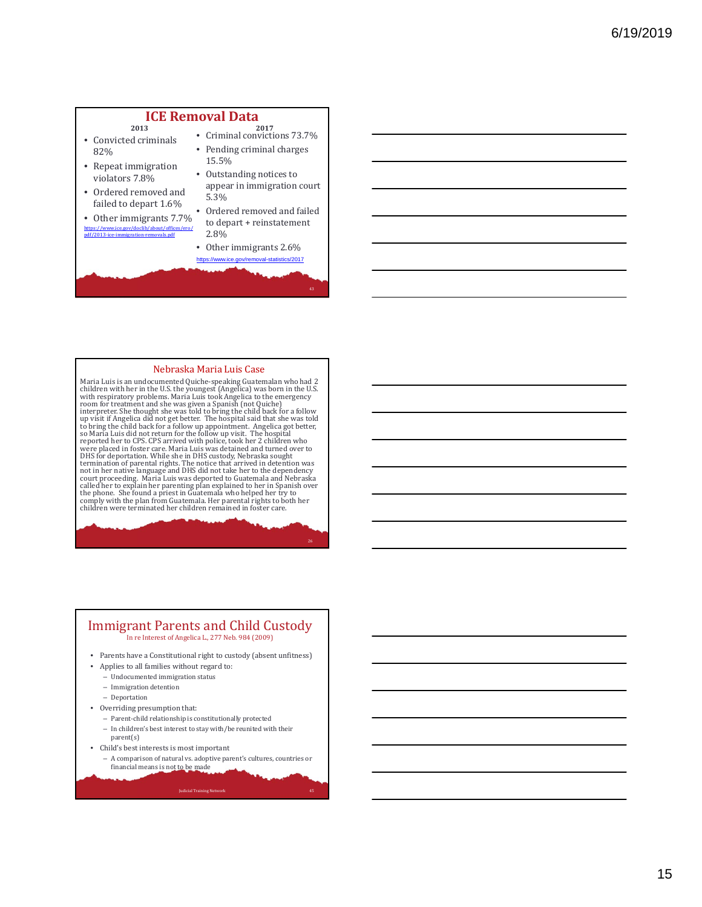#### **ICE Removal Data 2013**

- Convicted criminals 82%
- Repeat immigration violators 7.8%
- Ordered removed and failed to depart 1.6%
- Other immigrants 7.7% https://www.ice.gov/doclib/about/offices/ero/ pdf/2013‐ice‐immigration‐removals.pdf
- **2017** Criminal convictions 73.7% • Pending criminal charges 15.5%
- Outstanding notices to appear in immigration court 5.3%
- Ordered removed and failed to depart + reinstatement 2.8%
- Other immigrants 2.6% https://www.ice.gov/removal-statistics/2017

26

#### Nebraska Maria Luis Case

Maria Luis is an undocumented Quiche-speaking Guatemalan who had 2 children with her in the U.S. the youngest (Angelica) was born in the U.S.<br>with respiratory problems. Maria Luis took Angelica to the emergency<br>room for treatment and she was given a Spanish (not Quiche)<br>interpreter. She t up visit if Angelica did not get better. The hospital said that she was told<br>to bring the child back for a follow up appointment. Angelica got better,<br>so Maria Luis did not return for the follow up visit. The hospital<br>repo termination of parental rights. The notice that arrived in detention was not in her native language and DHS did not take her to the dependency court proceeding. Maria Luis was deported to Guatemala and Nebraska called her comply with the plan from Guatemala. Her parental rights to both her children were terminated her children remained in foster care.

#### Immigrant Parents and Child Custody In re Interest of Angelica L., 277 Neb. 984 (2009) • Parents have a Constitutional right to custody (absent unfitness)

- Applies to all families without regard to:
	- Undocumented immigration status
	- Immigration detention
	- Deportation
- Overriding presumption that:
	- Parent-child relationship is constitutionally protected
	- In children's best interest to stay with/be reunited with their parent(s)
- Child's best interests is most important
	- A comparison of natural vs. adoptive parent's cultures, countries or financial means is not to be made

**Judicial Training Network 45** and 200 million 10 million 10 million 10 million 10 million 10 million 10 million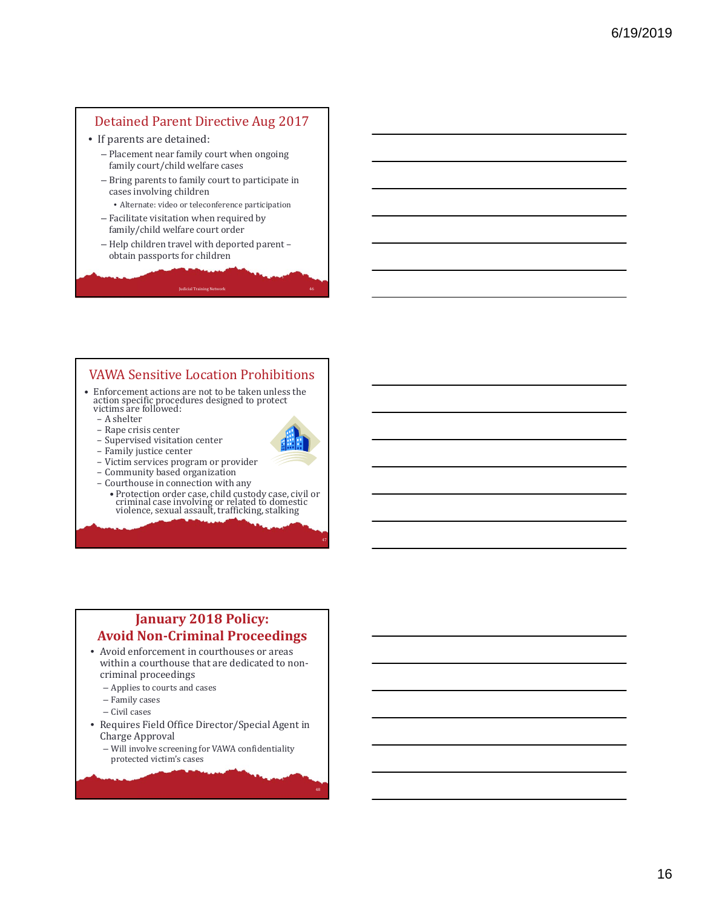#### Detained Parent Directive Aug 2017

- If parents are detained:
	- Placement near family court when ongoing family court/child welfare cases
	- Bring parents to family court to participate in cases involving children
	- Alternate: video or teleconference participation
	- Facilitate visitation when required by family/child welfare court order
	- Help children travel with deported parent obtain passports for children

**Judicial Training Network** 

## **VAWA Sensitive Location Prohibitions**

- Enforcement actions are not to be taken unless the  $\,$ action specific procedures designed to protect<br>victims are followed:
	- A shelter
	- Rape crisis center
	- Supervised visitation center
	- Family justice center
	- Victim services program or provider
	- Community based organization
	- Courthouse in connection with any
		- Protection order case, child custody case, civil or<br>criminal case involving or related to domestic<br>violence, sexual assault, trafficking, stalking

## **January 2018 Policy: Avoid Non‐Criminal Proceedings**

- Avoid enforcement in courthouses or areas within a courthouse that are dedicated to noncriminal proceedings
	- Applies to courts and cases
	- Family cases
	- Civil cases
- Requires Field Office Director/Special Agent in Charge Approval
	- Will involve screening for VAWA confidentiality protected victim's cases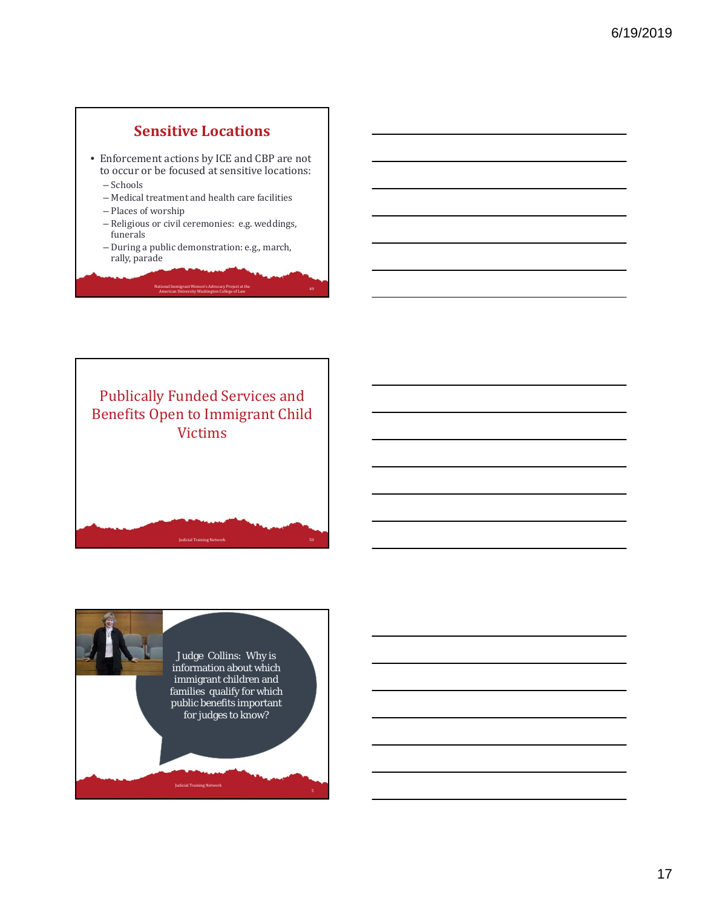## **Sensitive Locations**

- Enforcement actions by ICE and CBP are not to occur or be focused at sensitive locations:
	- Schools
	- Medical treatment and health care facilities
	- Places of worship
	- Religious or civil ceremonies: e.g. weddings, funerals
	- During a public demonstration: e.g., march, rally, parade

National Immigrant Women's Advocacy Project at the<br>American University Washington College of Law



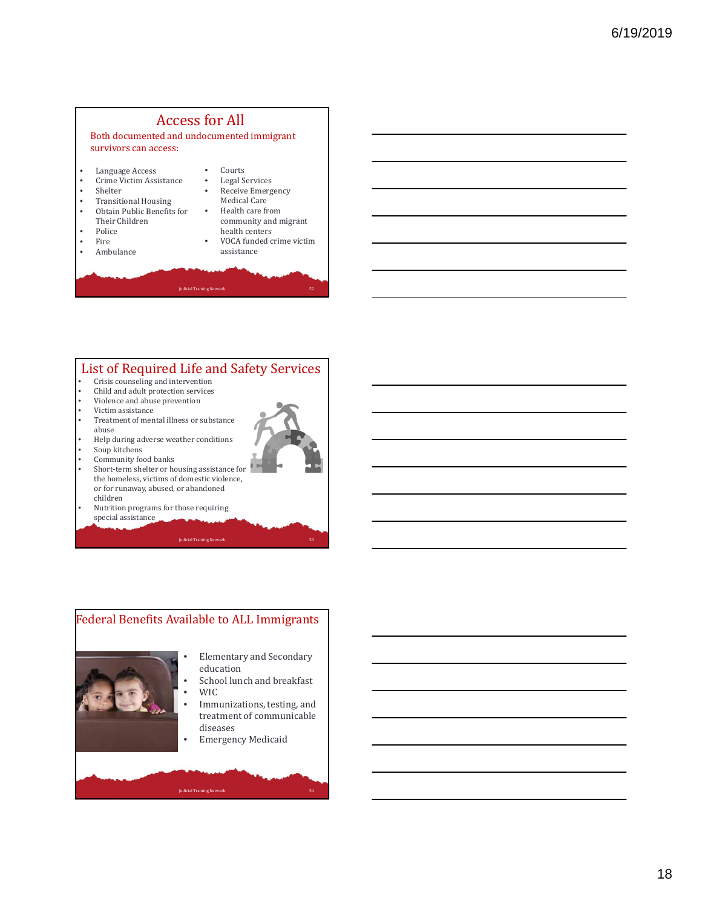## **Access for All**

Both documented and undocumented immigrant survivors can access:

- Language Access
- Crime Victim Assistance
- **Shelter**
- Transitional Housing • Obtain Public Benefits for
- Their Children
- Police
- Fire  $\frac{1}{2}$ • Ambulance
- 
- Courts • Legal Services
- Receive Emergency
- Medical Care
- Health care from community and migrant

**Judicial Training Network**<br> **Judicial Training Network**<br>
53

- health centers
- VOCA funded crime victim assistance

#### List of Required Life and Safety Services

- Crisis counseling and intervention
- Child and adult protection services
- Violence and abuse prevention
- Victim assistance
- Treatment of mental illness or substance abuse
- Help during adverse weather conditions
- Soup kitchens
- Community food banks
- Short-term shelter or housing assistance for the homeless, victims of domestic violence, or for runaway, abused, or abandoned children
- Nutrition programs for those requiring special assistance

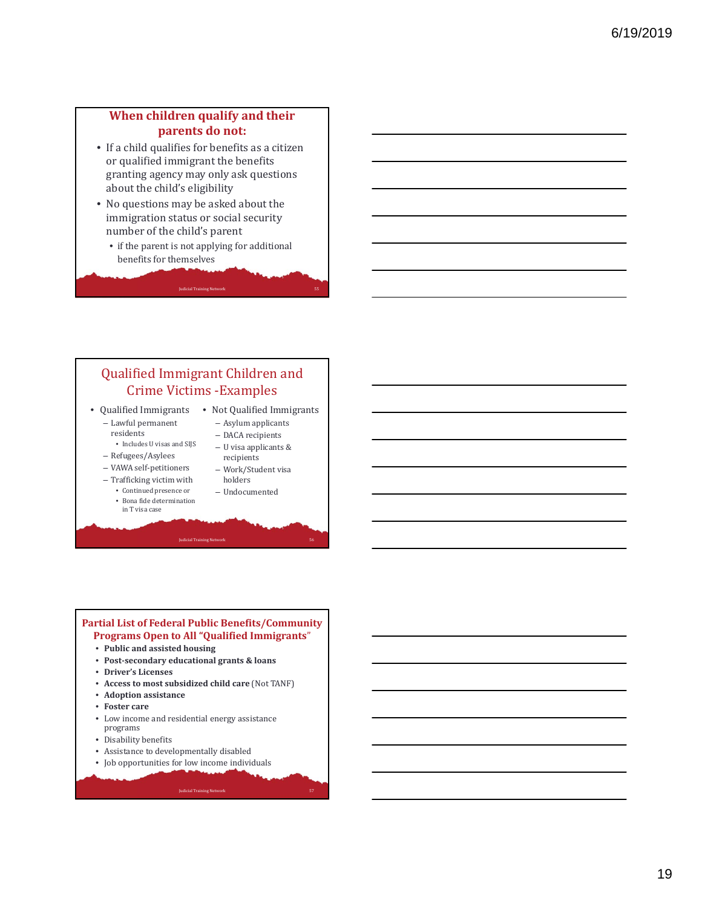## **When children qualify and their parents do not:**

- If a child qualifies for benefits as a citizen or qualified immigrant the benefits granting agency may only ask questions about the child's eligibility
- No questions may be asked about the immigration status or social security number of the child's parent
	- if the parent is not applying for additional benefits for themselves

**Judicial Training Network** 

## Qualified Immigrant Children and Crime Victims - Examples • Qualified Immigrants • Not Qualified Immigrants

- Lawful permanent residents
	- Includes U visas and SIJS
- Refugees/Asylees
- VAWA self‐petitioners
- Trafficking victim with • Continued presence or
	- Bona fide determination
	- in T visa case
- Asylum applicants - DACA recipients – U visa applicants & recipients
- Work/Student visa holders
- Undocumented

#### **Partial List of Federal Public Benefits/Community Programs Open to All "Qualified Immigrants**"

- **Public and assisted housing**
- **Post‐secondary educational grants & loans**
- **Driver's Licenses**
- **Access to most subsidized child care** (Not TANF)
- **Adoption assistance**
- **Foster care**
- $\bullet~$  Low income and residential energy assistance programs
- Disability benefits
- Assistance to developmentally disabled
- Job opportunities for low income individuals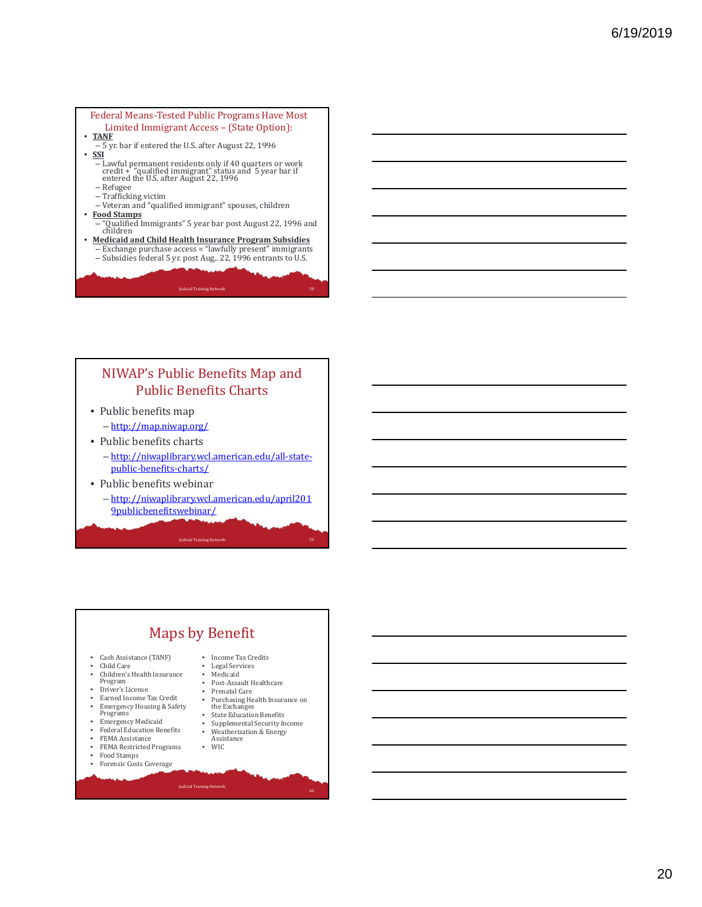# Federal Means-Tested Public Programs Have Most Limited Immigrant Access – (State Option):<br>
• **<u>TANF</u>**<br>
• SSI<br>
• SSI

- 
- - Lawful permanent residents only if 40 quarters or work<br>credit + "qualified immigrant" status and 5 year bar if<br>entered the U.S. after August 22, 1996
	- Refugee
	- Trafficking victim
- Veteran and "qualified immigrant" spouses, children • **Food Stamps**
	- "Qualified Immigrants" 5 year bar post August 22, 1996 and<br>children
	-
- <u>Medicaid and Child Health Insurance Program Subsidies</u><br>- Exchange purchase access = "lawfully present" immigrants<br>- Subsidies federal 5 yr. post Aug., 22, 1996 entrants to U.S.

**Judicial Training Network** 

#### NIWAP's Public Benefits Map and Public Benefits Charts

• Public benefits map

– http://map.niwap.org/

- Public benefits charts
	- http://niwaplibrary.wcl.american.edu/all‐state‐ public‐benefits‐charts/
- Public benefits webinar
	- http://niwaplibrary.wcl.american.edu/april201 9publicbenefitswebinar/

**Judicial Training Network**<br> **Judicial Training Network**